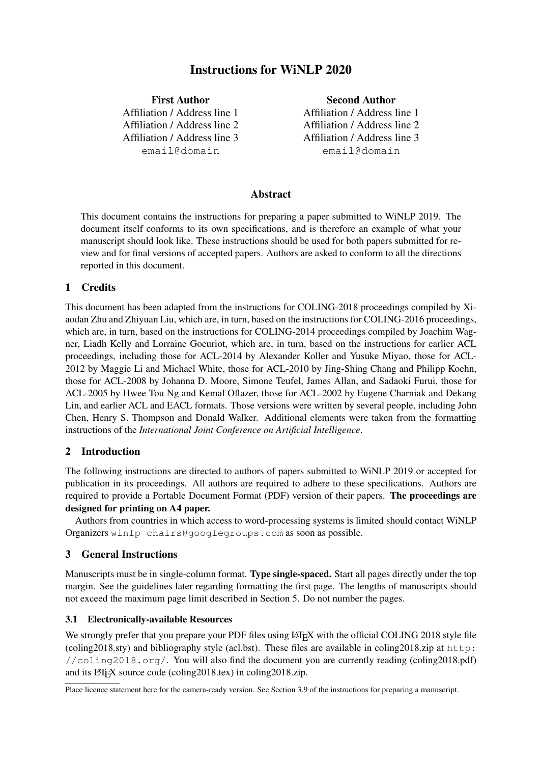# Instructions for WiNLP 2020

First Author Affiliation / Address line 1 Affiliation / Address line 2 Affiliation / Address line 3 email@domain

Second Author Affiliation / Address line 1 Affiliation / Address line 2 Affiliation / Address line 3 email@domain

# Abstract

This document contains the instructions for preparing a paper submitted to WiNLP 2019. The document itself conforms to its own specifications, and is therefore an example of what your manuscript should look like. These instructions should be used for both papers submitted for review and for final versions of accepted papers. Authors are asked to conform to all the directions reported in this document.

# 1 Credits

This document has been adapted from the instructions for COLING-2018 proceedings compiled by Xiaodan Zhu and Zhiyuan Liu, which are, in turn, based on the instructions for COLING-2016 proceedings, which are, in turn, based on the instructions for COLING-2014 proceedings compiled by Joachim Wagner, Liadh Kelly and Lorraine Goeuriot, which are, in turn, based on the instructions for earlier ACL proceedings, including those for ACL-2014 by Alexander Koller and Yusuke Miyao, those for ACL-2012 by Maggie Li and Michael White, those for ACL-2010 by Jing-Shing Chang and Philipp Koehn, those for ACL-2008 by Johanna D. Moore, Simone Teufel, James Allan, and Sadaoki Furui, those for ACL-2005 by Hwee Tou Ng and Kemal Oflazer, those for ACL-2002 by Eugene Charniak and Dekang Lin, and earlier ACL and EACL formats. Those versions were written by several people, including John Chen, Henry S. Thompson and Donald Walker. Additional elements were taken from the formatting instructions of the *International Joint Conference on Artificial Intelligence*.

# 2 Introduction

The following instructions are directed to authors of papers submitted to WiNLP 2019 or accepted for publication in its proceedings. All authors are required to adhere to these specifications. Authors are required to provide a Portable Document Format (PDF) version of their papers. The proceedings are designed for printing on A4 paper.

Authors from countries in which access to word-processing systems is limited should contact WiNLP Organizers winlp-chairs@googlegroups.com as soon as possible.

# 3 General Instructions

Manuscripts must be in single-column format. Type single-spaced. Start all pages directly under the top margin. See the guidelines later regarding formatting the first page. The lengths of manuscripts should not exceed the maximum page limit described in Section 5. Do not number the pages.

## 3.1 Electronically-available Resources

We strongly prefer that you prepare your PDF files using LATEX with the official COLING 2018 style file (coling2018.sty) and bibliography style (acl.bst). These files are available in coling2018.zip at http: //coling2018.org/. You will also find the document you are currently reading (coling2018.pdf) and its LATEX source code (coling2018.tex) in coling2018.zip.

Place licence statement here for the camera-ready version. See Section 3.9 of the instructions for preparing a manuscript.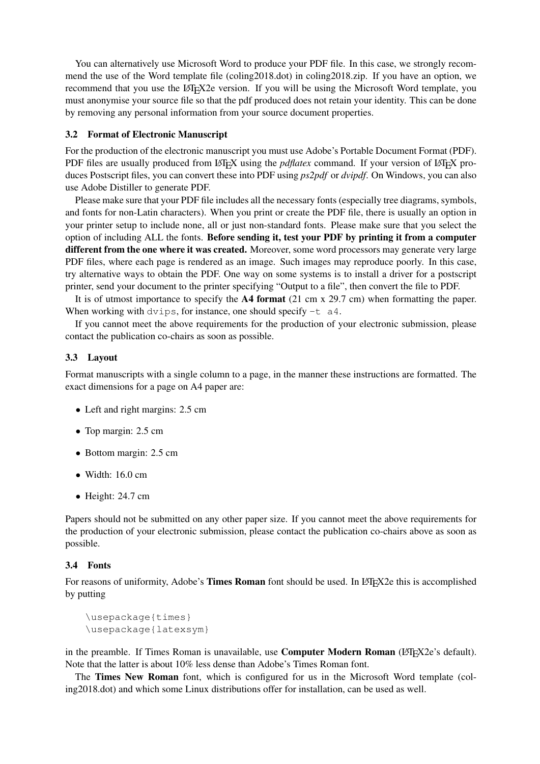You can alternatively use Microsoft Word to produce your PDF file. In this case, we strongly recommend the use of the Word template file (coling2018.dot) in coling2018.zip. If you have an option, we recommend that you use the LAT<sub>EX2</sub> version. If you will be using the Microsoft Word template, you must anonymise your source file so that the pdf produced does not retain your identity. This can be done by removing any personal information from your source document properties.

#### 3.2 Format of Electronic Manuscript

For the production of the electronic manuscript you must use Adobe's Portable Document Format (PDF). PDF files are usually produced from LAT<sub>EX</sub> using the *pdflatex* command. If your version of LAT<sub>EX</sub> produces Postscript files, you can convert these into PDF using *ps2pdf* or *dvipdf*. On Windows, you can also use Adobe Distiller to generate PDF.

Please make sure that your PDF file includes all the necessary fonts (especially tree diagrams, symbols, and fonts for non-Latin characters). When you print or create the PDF file, there is usually an option in your printer setup to include none, all or just non-standard fonts. Please make sure that you select the option of including ALL the fonts. Before sending it, test your PDF by printing it from a computer different from the one where it was created. Moreover, some word processors may generate very large PDF files, where each page is rendered as an image. Such images may reproduce poorly. In this case, try alternative ways to obtain the PDF. One way on some systems is to install a driver for a postscript printer, send your document to the printer specifying "Output to a file", then convert the file to PDF.

It is of utmost importance to specify the A4 format (21 cm x 29.7 cm) when formatting the paper. When working with dvips, for instance, one should specify  $-t$  a4.

If you cannot meet the above requirements for the production of your electronic submission, please contact the publication co-chairs as soon as possible.

#### 3.3 Layout

Format manuscripts with a single column to a page, in the manner these instructions are formatted. The exact dimensions for a page on A4 paper are:

- Left and right margins: 2.5 cm
- Top margin: 2.5 cm
- Bottom margin: 2.5 cm
- Width:  $16.0 \text{ cm}$
- Height: 24.7 cm

Papers should not be submitted on any other paper size. If you cannot meet the above requirements for the production of your electronic submission, please contact the publication co-chairs above as soon as possible.

#### 3.4 Fonts

For reasons of uniformity, Adobe's Times Roman font should be used. In LATEX2e this is accomplished by putting

```
\usepackage{times}
\usepackage{latexsym}
```
in the preamble. If Times Roman is unavailable, use **Computer Modern Roman** ( $\Delta T_F X 2e$ 's default). Note that the latter is about 10% less dense than Adobe's Times Roman font.

The Times New Roman font, which is configured for us in the Microsoft Word template (coling2018.dot) and which some Linux distributions offer for installation, can be used as well.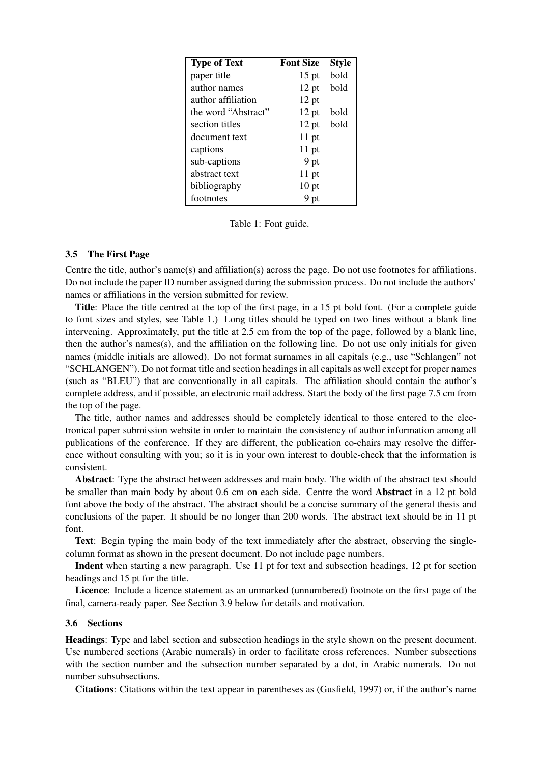| <b>Type of Text</b> | <b>Font Size</b> | <b>Style</b> |
|---------------------|------------------|--------------|
| paper title         | $15$ pt          | bold         |
| author names        | $12$ pt          | bold         |
| author affiliation  | $12$ pt          |              |
| the word "Abstract" | $12$ pt          | bold         |
| section titles      | $12$ pt          | bold         |
| document text       | $11$ pt          |              |
| captions            | $11$ pt          |              |
| sub-captions        | 9 pt             |              |
| abstract text       | $11$ pt          |              |
| bibliography        | $10$ pt          |              |
| footnotes           | 9 pt             |              |

Table 1: Font guide.

#### 3.5 The First Page

Centre the title, author's name(s) and affiliation(s) across the page. Do not use footnotes for affiliations. Do not include the paper ID number assigned during the submission process. Do not include the authors' names or affiliations in the version submitted for review.

Title: Place the title centred at the top of the first page, in a 15 pt bold font. (For a complete guide to font sizes and styles, see Table 1.) Long titles should be typed on two lines without a blank line intervening. Approximately, put the title at 2.5 cm from the top of the page, followed by a blank line, then the author's names(s), and the affiliation on the following line. Do not use only initials for given names (middle initials are allowed). Do not format surnames in all capitals (e.g., use "Schlangen" not "SCHLANGEN"). Do not format title and section headings in all capitals as well except for proper names (such as "BLEU") that are conventionally in all capitals. The affiliation should contain the author's complete address, and if possible, an electronic mail address. Start the body of the first page 7.5 cm from the top of the page.

The title, author names and addresses should be completely identical to those entered to the electronical paper submission website in order to maintain the consistency of author information among all publications of the conference. If they are different, the publication co-chairs may resolve the difference without consulting with you; so it is in your own interest to double-check that the information is consistent.

Abstract: Type the abstract between addresses and main body. The width of the abstract text should be smaller than main body by about 0.6 cm on each side. Centre the word Abstract in a 12 pt bold font above the body of the abstract. The abstract should be a concise summary of the general thesis and conclusions of the paper. It should be no longer than 200 words. The abstract text should be in 11 pt font.

Text: Begin typing the main body of the text immediately after the abstract, observing the singlecolumn format as shown in the present document. Do not include page numbers.

Indent when starting a new paragraph. Use 11 pt for text and subsection headings, 12 pt for section headings and 15 pt for the title.

Licence: Include a licence statement as an unmarked (unnumbered) footnote on the first page of the final, camera-ready paper. See Section 3.9 below for details and motivation.

## 3.6 Sections

Headings: Type and label section and subsection headings in the style shown on the present document. Use numbered sections (Arabic numerals) in order to facilitate cross references. Number subsections with the section number and the subsection number separated by a dot, in Arabic numerals. Do not number subsubsections.

Citations: Citations within the text appear in parentheses as (Gusfield, 1997) or, if the author's name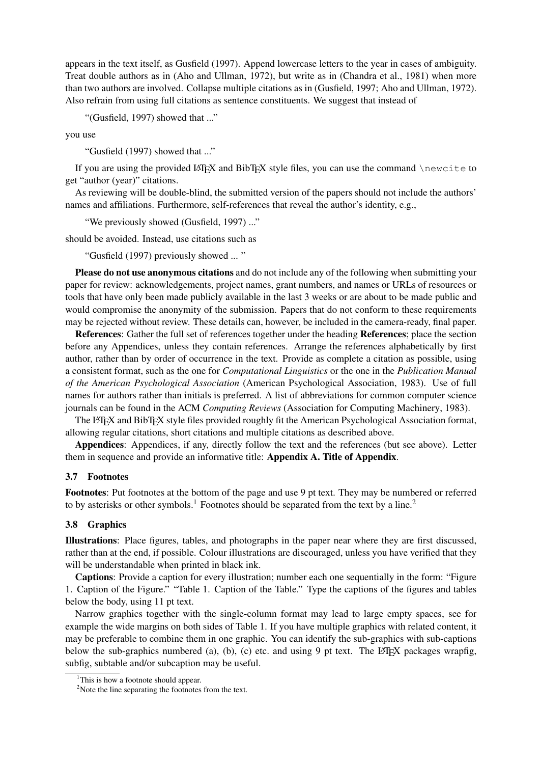appears in the text itself, as Gusfield (1997). Append lowercase letters to the year in cases of ambiguity. Treat double authors as in (Aho and Ullman, 1972), but write as in (Chandra et al., 1981) when more than two authors are involved. Collapse multiple citations as in (Gusfield, 1997; Aho and Ullman, 1972). Also refrain from using full citations as sentence constituents. We suggest that instead of

"(Gusfield, 1997) showed that ..."

you use

"Gusfield (1997) showed that ..."

If you are using the provided LATEX and BibTEX style files, you can use the command  $\neq$ get "author (year)" citations.

As reviewing will be double-blind, the submitted version of the papers should not include the authors' names and affiliations. Furthermore, self-references that reveal the author's identity, e.g.,

"We previously showed (Gusfield, 1997) ..."

should be avoided. Instead, use citations such as

"Gusfield (1997) previously showed ... "

Please do not use anonymous citations and do not include any of the following when submitting your paper for review: acknowledgements, project names, grant numbers, and names or URLs of resources or tools that have only been made publicly available in the last 3 weeks or are about to be made public and would compromise the anonymity of the submission. Papers that do not conform to these requirements may be rejected without review. These details can, however, be included in the camera-ready, final paper.

References: Gather the full set of references together under the heading References; place the section before any Appendices, unless they contain references. Arrange the references alphabetically by first author, rather than by order of occurrence in the text. Provide as complete a citation as possible, using a consistent format, such as the one for *Computational Linguistics* or the one in the *Publication Manual of the American Psychological Association* (American Psychological Association, 1983). Use of full names for authors rather than initials is preferred. A list of abbreviations for common computer science journals can be found in the ACM *Computing Reviews* (Association for Computing Machinery, 1983).

The LATEX and BibTEX style files provided roughly fit the American Psychological Association format, allowing regular citations, short citations and multiple citations as described above.

Appendices: Appendices, if any, directly follow the text and the references (but see above). Letter them in sequence and provide an informative title: Appendix A. Title of Appendix.

#### 3.7 Footnotes

Footnotes: Put footnotes at the bottom of the page and use 9 pt text. They may be numbered or referred to by asterisks or other symbols.<sup>1</sup> Footnotes should be separated from the text by a line.<sup>2</sup>

## 3.8 Graphics

Illustrations: Place figures, tables, and photographs in the paper near where they are first discussed, rather than at the end, if possible. Colour illustrations are discouraged, unless you have verified that they will be understandable when printed in black ink.

Captions: Provide a caption for every illustration; number each one sequentially in the form: "Figure 1. Caption of the Figure." "Table 1. Caption of the Table." Type the captions of the figures and tables below the body, using 11 pt text.

Narrow graphics together with the single-column format may lead to large empty spaces, see for example the wide margins on both sides of Table 1. If you have multiple graphics with related content, it may be preferable to combine them in one graphic. You can identify the sub-graphics with sub-captions below the sub-graphics numbered (a), (b), (c) etc. and using 9 pt text. The LAT<sub>EX</sub> packages wrapfig, subfig, subtable and/or subcaption may be useful.

<sup>&</sup>lt;sup>1</sup>This is how a footnote should appear.

<sup>&</sup>lt;sup>2</sup>Note the line separating the footnotes from the text.